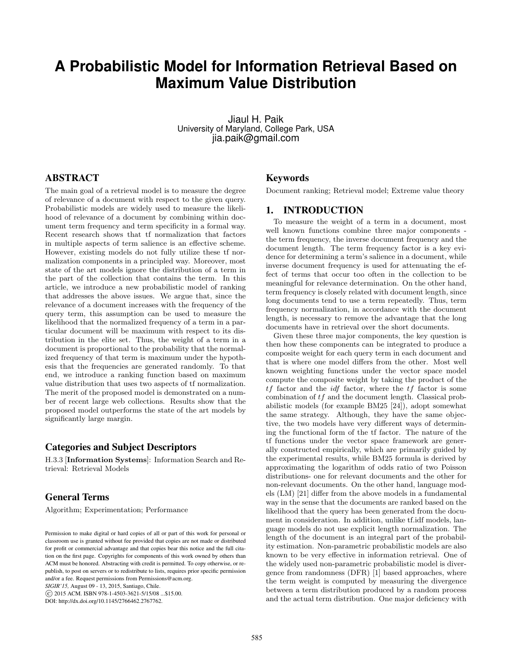# **A Probabilistic Model for Information Retrieval Based on Maximum Value Distribution**

Jiaul H. Paik University of Maryland, College Park, USA jia.paik@gmail.com

# ABSTRACT

The main goal of a retrieval model is to measure the degree of relevance of a document with respect to the given query. Probabilistic models are widely used to measure the likelihood of relevance of a document by combining within document term frequency and term specificity in a formal way. Recent research shows that tf normalization that factors in multiple aspects of term salience is an effective scheme. However, existing models do not fully utilize these tf normalization components in a principled way. Moreover, most state of the art models ignore the distribution of a term in the part of the collection that contains the term. In this article, we introduce a new probabilistic model of ranking that addresses the above issues. We argue that, since the relevance of a document increases with the frequency of the query term, this assumption can be used to measure the likelihood that the normalized frequency of a term in a particular document will be maximum with respect to its distribution in the elite set. Thus, the weight of a term in a document is proportional to the probability that the normalized frequency of that term is maximum under the hypothesis that the frequencies are generated randomly. To that end, we introduce a ranking function based on maximum value distribution that uses two aspects of tf normalization. The merit of the proposed model is demonstrated on a number of recent large web collections. Results show that the proposed model outperforms the state of the art models by significantly large margin.

# Categories and Subject Descriptors

H.3.3 [Information Systems]: Information Search and Retrieval: Retrieval Models

# General Terms

Algorithm; Experimentation; Performance

*SIGIR'15,* August 09 - 13, 2015, Santiago, Chile.

c 2015 ACM. ISBN 978-1-4503-3621-5/15/08 ...\$15.00.

DOI: http://dx.doi.org/10.1145/2766462.2767762.

# Keywords

Document ranking; Retrieval model; Extreme value theory

# 1. INTRODUCTION

To measure the weight of a term in a document, most well known functions combine three major components the term frequency, the inverse document frequency and the document length. The term frequency factor is a key evidence for determining a term's salience in a document, while inverse document frequency is used for attenuating the effect of terms that occur too often in the collection to be meaningful for relevance determination. On the other hand, term frequency is closely related with document length, since long documents tend to use a term repeatedly. Thus, term frequency normalization, in accordance with the document length, is necessary to remove the advantage that the long documents have in retrieval over the short documents.

Given these three major components, the key question is then how these components can be integrated to produce a composite weight for each query term in each document and that is where one model differs from the other. Most well known weighting functions under the vector space model compute the composite weight by taking the product of the  $tf$  factor and the  $\mathcal{U}f$  factor, where the  $tf$  factor is some combination of tf and the document length. Classical probabilistic models (for example BM25 [24]), adopt somewhat the same strategy. Although, they have the same objective, the two models have very different ways of determining the functional form of the tf factor. The nature of the tf functions under the vector space framework are generally constructed empirically, which are primarily guided by the experimental results, while BM25 formula is derived by approximating the logarithm of odds ratio of two Poisson distributions- one for relevant documents and the other for non-relevant documents. On the other hand, language models (LM) [21] differ from the above models in a fundamental way in the sense that the documents are ranked based on the likelihood that the query has been generated from the document in consideration. In addition, unlike tf.idf models, language models do not use explicit length normalization. The length of the document is an integral part of the probability estimation. Non-parametric probabilistic models are also known to be very effective in information retrieval. One of the widely used non-parametric probabilistic model is divergence from randomness (DFR) [1] based approaches, where the term weight is computed by measuring the divergence between a term distribution produced by a random process and the actual term distribution. One major deficiency with

Permission to make digital or hard copies of all or part of this work for personal or classroom use is granted without fee provided that copies are not made or distributed for profit or commercial advantage and that copies bear this notice and the full citation on the first page. Copyrights for components of this work owned by others than ACM must be honored. Abstracting with credit is permitted. To copy otherwise, or republish, to post on servers or to redistribute to lists, requires prior specific permission and/or a fee. Request permissions from Permissions@acm.org.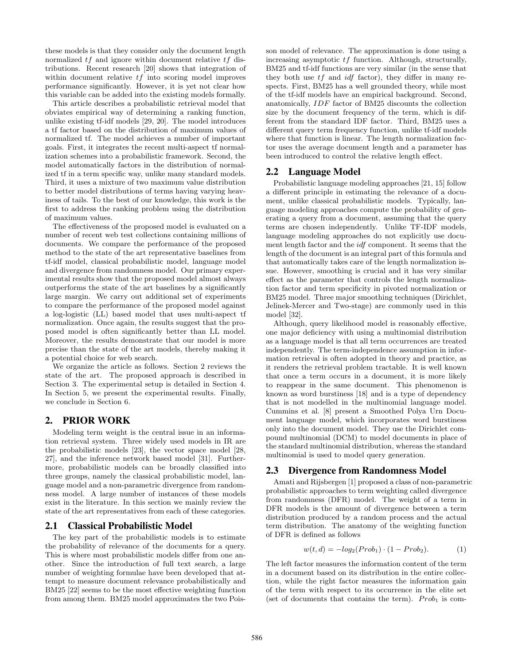these models is that they consider only the document length normalized  $tf$  and ignore within document relative  $tf$  distributions. Recent research [20] shows that integration of within document relative  $tf$  into scoring model improves performance significantly. However, it is yet not clear how this variable can be added into the existing models formally.

This article describes a probabilistic retrieval model that obviates empirical way of determining a ranking function, unlike existing tf-idf models [29, 20]. The model introduces a tf factor based on the distribution of maximum values of normalized tf. The model achieves a number of important goals. First, it integrates the recent multi-aspect tf normalization schemes into a probabilistic framework. Second, the model automatically factors in the distribution of normalized tf in a term specific way, unlike many standard models. Third, it uses a mixture of two maximum value distribution to better model distributions of terms having varying heaviness of tails. To the best of our knowledge, this work is the first to address the ranking problem using the distribution of maximum values.

The effectiveness of the proposed model is evaluated on a number of recent web test collections containing millions of documents. We compare the performance of the proposed method to the state of the art representative baselines from tf-idf model, classical probabilistic model, language model and divergence from randomness model. Our primary experimental results show that the proposed model almost always outperforms the state of the art baselines by a significantly large margin. We carry out additional set of experiments to compare the performance of the proposed model against a log-logistic (LL) based model that uses multi-aspect tf normalization. Once again, the results suggest that the proposed model is often significantly better than LL model. Moreover, the results demonstrate that our model is more precise than the state of the art models, thereby making it a potential choice for web search.

We organize the article as follows. Section 2 reviews the state of the art. The proposed approach is described in Section 3. The experimental setup is detailed in Section 4. In Section 5, we present the experimental results. Finally, we conclude in Section 6.

# 2. PRIOR WORK

Modeling term weight is the central issue in an information retrieval system. Three widely used models in IR are the probabilistic models [23], the vector space model [28, 27], and the inference network based model [31]. Furthermore, probabilistic models can be broadly classified into three groups, namely the classical probabilistic model, language model and a non-parametric divergence from randomness model. A large number of instances of these models exist in the literature. In this section we mainly review the state of the art representatives from each of these categories.

# 2.1 Classical Probabilistic Model

The key part of the probabilistic models is to estimate the probability of relevance of the documents for a query. This is where most probabilistic models differ from one another. Since the introduction of full text search, a large number of weighting formulae have been developed that attempt to measure document relevance probabilistically and BM25 [22] seems to be the most effective weighting function from among them. BM25 model approximates the two Poisson model of relevance. The approximation is done using a increasing asymptotic tf function. Although, structurally, BM25 and tf-idf functions are very similar (in the sense that they both use  $tf$  and  $idf$  factor), they differ in many respects. First, BM25 has a well grounded theory, while most of the tf-idf models have an empirical background. Second, anatomically, IDF factor of BM25 discounts the collection size by the document frequency of the term, which is different from the standard IDF factor. Third, BM25 uses a different query term frequency function, unlike tf-idf models where that function is linear. The length normalization factor uses the average document length and a parameter has been introduced to control the relative length effect.

# 2.2 Language Model

Probabilistic language modeling approaches [21, 15] follow a different principle in estimating the relevance of a document, unlike classical probabilistic models. Typically, language modeling approaches compute the probability of generating a query from a document, assuming that the query terms are chosen independently. Unlike TF-IDF models, language modeling approaches do not explicitly use document length factor and the idf component. It seems that the length of the document is an integral part of this formula and that automatically takes care of the length normalization issue. However, smoothing is crucial and it has very similar effect as the parameter that controls the length normalization factor and term specificity in pivoted normalization or BM25 model. Three major smoothing techniques (Dirichlet, Jelinek-Mercer and Two-stage) are commonly used in this model [32].

Although, query likelihood model is reasonably effective, one major deficiency with using a multinomial distribution as a language model is that all term occurrences are treated independently. The term-independence assumption in information retrieval is often adopted in theory and practice, as it renders the retrieval problem tractable. It is well known that once a term occurs in a document, it is more likely to reappear in the same document. This phenomenon is known as word burstiness [18] and is a type of dependency that is not modelled in the multinomial language model. Cummins et al. [8] present a Smoothed Polya Urn Document language model, which incorporates word burstiness only into the document model. They use the Dirichlet compound multinomial (DCM) to model documents in place of the standard multinomial distribution, whereas the standard multinomial is used to model query generation.

# 2.3 Divergence from Randomness Model

Amati and Rijsbergen [1] proposed a class of non-parametric probabilistic approaches to term weighting called divergence from randomness (DFR) model. The weight of a term in DFR models is the amount of divergence between a term distribution produced by a random process and the actual term distribution. The anatomy of the weighting function of DFR is defined as follows

$$
w(t, d) = -log_2(Prob_1) \cdot (1 - Prob_2). \tag{1}
$$

The left factor measures the information content of the term in a document based on its distribution in the entire collection, while the right factor measures the information gain of the term with respect to its occurrence in the elite set (set of documents that contains the term).  $Prob_1$  is com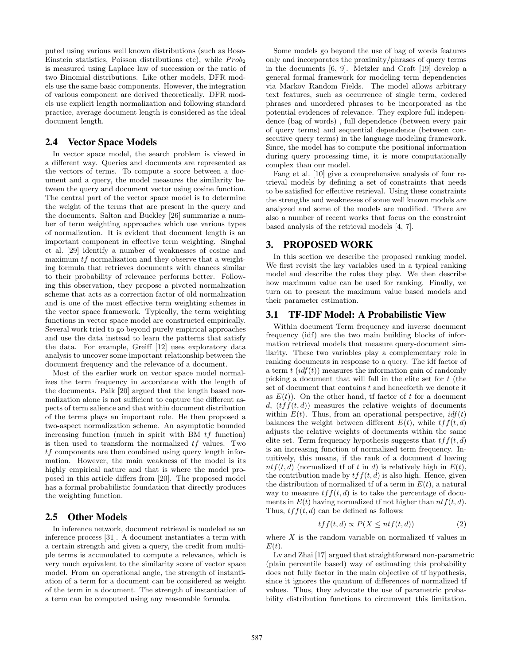puted using various well known distributions (such as Bose-Einstein statistics, Poisson distributions etc), while  $Prob<sub>2</sub>$ is measured using Laplace law of succession or the ratio of two Binomial distributions. Like other models, DFR models use the same basic components. However, the integration of various component are derived theoretically. DFR models use explicit length normalization and following standard practice, average document length is considered as the ideal document length.

# 2.4 Vector Space Models

In vector space model, the search problem is viewed in a different way. Queries and documents are represented as the vectors of terms. To compute a score between a document and a query, the model measures the similarity between the query and document vector using cosine function. The central part of the vector space model is to determine the weight of the terms that are present in the query and the documents. Salton and Buckley [26] summarize a number of term weighting approaches which use various types of normalization. It is evident that document length is an important component in effective term weighting. Singhal et al. [29] identify a number of weaknesses of cosine and maximum  $tf$  normalization and they observe that a weighting formula that retrieves documents with chances similar to their probability of relevance performs better. Following this observation, they propose a pivoted normalization scheme that acts as a correction factor of old normalization and is one of the most effective term weighting schemes in the vector space framework. Typically, the term weighting functions in vector space model are constructed empirically. Several work tried to go beyond purely empirical approaches and use the data instead to learn the patterns that satisfy the data. For example, Greiff [12] uses exploratory data analysis to uncover some important relationship between the document frequency and the relevance of a document.

Most of the earlier work on vector space model normalizes the term frequency in accordance with the length of the documents. Paik [20] argued that the length based normalization alone is not sufficient to capture the different aspects of term salience and that within document distribution of the terms plays an important role. He then proposed a two-aspect normalization scheme. An asymptotic bounded increasing function (much in spirit with BM  $tf$  function) is then used to transform the normalized  $tf$  values. Two  $tf$  components are then combined using query length information. However, the main weakness of the model is its highly empirical nature and that is where the model proposed in this article differs from [20]. The proposed model has a formal probabilistic foundation that directly produces the weighting function.

# 2.5 Other Models

In inference network, document retrieval is modeled as an inference process [31]. A document instantiates a term with a certain strength and given a query, the credit from multiple terms is accumulated to compute a relevance, which is very much equivalent to the similarity score of vector space model. From an operational angle, the strength of instantiation of a term for a document can be considered as weight of the term in a document. The strength of instantiation of a term can be computed using any reasonable formula.

Some models go beyond the use of bag of words features only and incorporates the proximity/phrases of query terms in the documents [6, 9]. Metzler and Croft [19] develop a general formal framework for modeling term dependencies via Markov Random Fields. The model allows arbitrary text features, such as occurrence of single term, ordered phrases and unordered phrases to be incorporated as the potential evidences of relevance. They explore full independence (bag of words) , full dependence (between every pair of query terms) and sequential dependence (between consecutive query terms) in the language modeling framework. Since, the model has to compute the positional information during query processing time, it is more computationally complex than our model.

Fang et al. [10] give a comprehensive analysis of four retrieval models by defining a set of constraints that needs to be satisfied for effective retrieval. Using these constraints the strengths and weaknesses of some well known models are analyzed and some of the models are modified. There are also a number of recent works that focus on the constraint based analysis of the retrieval models [4, 7].

# 3. PROPOSED WORK

In this section we describe the proposed ranking model. We first revisit the key variables used in a typical ranking model and describe the roles they play. We then describe how maximum value can be used for ranking. Finally, we turn on to present the maximum value based models and their parameter estimation.

### 3.1 TF-IDF Model: A Probabilistic View

Within document Term frequency and inverse document frequency (idf) are the two main building blocks of information retrieval models that measure query-document similarity. These two variables play a complementary role in ranking documents in response to a query. The idf factor of a term  $t$  (idf(t)) measures the information gain of randomly picking a document that will fall in the elite set for  $t$  (the set of document that contains  $t$  and henceforth we denote it as  $E(t)$ ). On the other hand, if factor of t for a document d,  $(tff(t, d))$  measures the relative weights of documents within  $E(t)$ . Thus, from an operational perspective,  $\mathrm{id} f(t)$ balances the weight between different  $E(t)$ , while  $tf(t, d)$ adjusts the relative weights of documents within the same elite set. Term frequency hypothesis suggests that  $tf(t, d)$ is an increasing function of normalized term frequency. Intuitively, this means, if the rank of a document d having  $ntf(t, d)$  (normalized tf of t in d) is relatively high in  $E(t)$ , the contribution made by  $tf(t, d)$  is also high. Hence, given the distribution of normalized tf of a term in  $E(t)$ , a natural way to measure  $tf(t, d)$  is to take the percentage of documents in  $E(t)$  having normalized tf not higher than  $ntf(t, d)$ . Thus,  $tf(t, d)$  can be defined as follows:

$$
tff(t,d) \propto P(X \leq ntf(t,d))\tag{2}
$$

where  $X$  is the random variable on normalized tf values in  $E(t)$ .

Lv and Zhai [17] argued that straightforward non-parametric (plain percentile based) way of estimating this probability does not fully factor in the main objective of tf hypothesis, since it ignores the quantum of differences of normalized tf values. Thus, they advocate the use of parametric probability distribution functions to circumvent this limitation.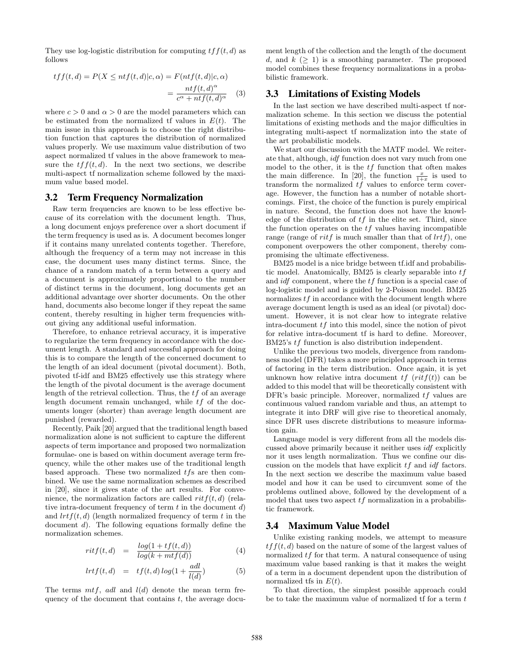They use log-logistic distribution for computing  $tf(t, d)$  as follows

$$
tff(t,d) = P(X \le nt f(t,d)|c,\alpha) = F(nt f(t,d)|c,\alpha)
$$

$$
= \frac{nt f(t,d)^{\alpha}}{c^{\alpha} + nt f(t,d)^{\alpha}} \quad (3)
$$

where  $c > 0$  and  $\alpha > 0$  are the model parameters which can be estimated from the normalized tf values in  $E(t)$ . The main issue in this approach is to choose the right distribution function that captures the distribution of normalized values properly. We use maximum value distribution of two aspect normalized tf values in the above framework to measure the  $tf(t, d)$ . In the next two sections, we describe multi-aspect tf normalization scheme followed by the maximum value based model.

### 3.2 Term Frequency Normalization

Raw term frequencies are known to be less effective because of its correlation with the document length. Thus, a long document enjoys preference over a short document if the term frequency is used as is. A document becomes longer if it contains many unrelated contents together. Therefore, although the frequency of a term may not increase in this case, the document uses many distinct terms. Since, the chance of a random match of a term between a query and a document is approximately proportional to the number of distinct terms in the document, long documents get an additional advantage over shorter documents. On the other hand, documents also become longer if they repeat the same content, thereby resulting in higher term frequencies without giving any additional useful information.

Therefore, to enhance retrieval accuracy, it is imperative to regularize the term frequency in accordance with the document length. A standard and successful approach for doing this is to compare the length of the concerned document to the length of an ideal document (pivotal document). Both, pivoted tf-idf and BM25 effectively use this strategy where the length of the pivotal document is the average document length of the retrieval collection. Thus, the  $tf$  of an average length document remain unchanged, while tf of the documents longer (shorter) than average length document are punished (rewarded).

Recently, Paik [20] argued that the traditional length based normalization alone is not sufficient to capture the different aspects of term importance and proposed two normalization formulae- one is based on within document average term frequency, while the other makes use of the traditional length based approach. These two normalized  $tfs$  are then combined. We use the same normalization schemes as described in [20], since it gives state of the art results. For convenience, the normalization factors are called  $ritf(t, d)$  (relative intra-document frequency of term  $t$  in the document  $d$ ) and  $lrtf(t, d)$  (length normalized frequency of term t in the document d). The following equations formally define the normalization schemes.

$$
riff(t,d) = \frac{\log(1 + tf(t,d))}{\log(k + mtf(d))}
$$
(4)

$$
lrtf(t,d) = tf(t,d)log(1+\frac{adl}{l(d)})
$$
\n(5)

The terms  $m t f$ , adl and  $l(d)$  denote the mean term frequency of the document that contains  $t$ , the average document length of the collection and the length of the document d, and  $k$  ( $> 1$ ) is a smoothing parameter. The proposed model combines these frequency normalizations in a probabilistic framework.

### 3.3 Limitations of Existing Models

In the last section we have described multi-aspect tf normalization scheme. In this section we discuss the potential limitations of existing methods and the major difficulties in integrating multi-aspect tf normalization into the state of the art probabilistic models.

We start our discussion with the MATF model. We reiterate that, although, idf function does not vary much from one model to the other, it is the  $tf$  function that often makes the main difference. In [20], the function  $\frac{x}{1+x}$  is used to transform the normalized tf values to enforce term coverage. However, the function has a number of notable shortcomings. First, the choice of the function is purely empirical in nature. Second, the function does not have the knowledge of the distribution of  $tf$  in the elite set. Third, since the function operates on the  $tf$  values having incompatible range (range of *ritf* is much smaller than that of  $lrtf$ ), one component overpowers the other component, thereby compromising the ultimate effectiveness.

BM25 model is a nice bridge between tf.idf and probabilistic model. Anatomically, BM25 is clearly separable into  $tf$ and idf component, where the tf function is a special case of log-logistic model and is guided by 2-Poisson model. BM25 normalizes  $tf$  in accordance with the document length where average document length is used as an ideal (or pivotal) document. However, it is not clear how to integrate relative intra-document tf into this model, since the notion of pivot for relative intra-document tf is hard to define. Moreover, BM25's tf function is also distribution independent.

Unlike the previous two models, divergence from randomness model (DFR) takes a more principled approach in terms of factoring in the term distribution. Once again, it is yet unknown how relative intra document  $tf (ritf(t))$  can be added to this model that will be theoretically consistent with DFR's basic principle. Moreover, normalized tf values are continuous valued random variable and thus, an attempt to integrate it into DRF will give rise to theoretical anomaly, since DFR uses discrete distributions to measure information gain.

Language model is very different from all the models discussed above primarily because it neither uses idf explicitly nor it uses length normalization. Thus we confine our discussion on the models that have explicit  $tf$  and  $\mathrm{id} f$  factors. In the next section we describe the maximum value based model and how it can be used to circumvent some of the problems outlined above, followed by the development of a model that uses two aspect  $tf$  normalization in a probabilistic framework.

#### 3.4 Maximum Value Model

Unlike existing ranking models, we attempt to measure  $tf(t, d)$  based on the nature of some of the largest values of normalized  $tf$  for that term. A natural consequence of using maximum value based ranking is that it makes the weight of a term in a document dependent upon the distribution of normalized tfs in  $E(t)$ .

To that direction, the simplest possible approach could be to take the maximum value of normalized tf for a term  $t$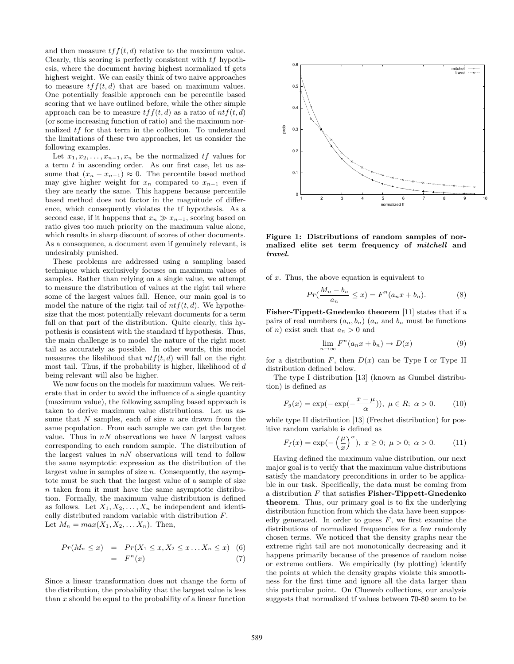and then measure  $tf(t, d)$  relative to the maximum value. Clearly, this scoring is perfectly consistent with tf hypothesis, where the document having highest normalized tf gets highest weight. We can easily think of two naive approaches to measure  $tf(t, d)$  that are based on maximum values. One potentially feasible approach can be percentile based scoring that we have outlined before, while the other simple approach can be to measure  $tf(t, d)$  as a ratio of  $ntf(t, d)$ (or some increasing function of ratio) and the maximum normalized tf for that term in the collection. To understand the limitations of these two approaches, let us consider the following examples.

Let  $x_1, x_2, \ldots, x_{n-1}, x_n$  be the normalized  $tf$  values for a term  $t$  in ascending order. As our first case, let us assume that  $(x_n - x_{n-1}) \approx 0$ . The percentile based method may give higher weight for  $x_n$  compared to  $x_{n-1}$  even if they are nearly the same. This happens because percentile based method does not factor in the magnitude of difference, which consequently violates the tf hypothesis. As a second case, if it happens that  $x_n \gg x_{n-1}$ , scoring based on ratio gives too much priority on the maximum value alone, which results in sharp discount of scores of other documents. As a consequence, a document even if genuinely relevant, is undesirably punished.

These problems are addressed using a sampling based technique which exclusively focuses on maximum values of samples. Rather than relying on a single value, we attempt to measure the distribution of values at the right tail where some of the largest values fall. Hence, our main goal is to model the nature of the right tail of  $ntf(t, d)$ . We hypothesize that the most potentially relevant documents for a term fall on that part of the distribution. Quite clearly, this hypothesis is consistent with the standard tf hypothesis. Thus, the main challenge is to model the nature of the right most tail as accurately as possible. In other words, this model measures the likelihood that  $ntf(t, d)$  will fall on the right most tail. Thus, if the probability is higher, likelihood of d being relevant will also be higher.

We now focus on the models for maximum values. We reiterate that in order to avoid the influence of a single quantity (maximum value), the following sampling based approach is taken to derive maximum value distributions. Let us assume that  $N$  samples, each of size  $n$  are drawn from the same population. From each sample we can get the largest value. Thus in  $nN$  observations we have N largest values corresponding to each random sample. The distribution of the largest values in  $nN$  observations will tend to follow the same asymptotic expression as the distribution of the largest value in samples of size  $n$ . Consequently, the asymptote must be such that the largest value of a sample of size  $n$  taken from it must have the same asymptotic distribution. Formally, the maximum value distribution is defined as follows. Let  $X_1, X_2, \ldots, X_n$  be independent and identically distributed random variable with distribution F. Let  $M_n = max(X_1, X_2, \ldots X_n)$ . Then,

$$
Pr(M_n \le x) = Pr(X_1 \le x, X_2 \le x \dots X_n \le x) \quad (6)
$$

$$
= F^n(x) \quad (7)
$$

Since a linear transformation does not change the form of the distribution, the probability that the largest value is less than  $x$  should be equal to the probability of a linear function



Figure 1: Distributions of random samples of normalized elite set term frequency of mitchell and travel.

of x. Thus, the above equation is equivalent to

$$
Pr(\frac{M_n - b_n}{a_n} \le x) = F^n(a_n x + b_n). \tag{8}
$$

Fisher-Tippett-Gnedenko theorem [11] states that if a pairs of real numbers  $(a_n, b_n)$   $(a_n, a_n)$  must be functions of *n*) exist such that  $a_n > 0$  and

$$
\lim_{n \to \infty} F^n(a_n x + b_n) \to D(x) \tag{9}
$$

for a distribution  $F$ , then  $D(x)$  can be Type I or Type II distribution defined below.

The type I distribution [13] (known as Gumbel distribution) is defined as

$$
F_g(x) = \exp(-\exp(-\frac{x-\mu}{\alpha})), \ \mu \in R; \ \alpha > 0. \tag{10}
$$

while type II distribution [13] (Frechet distribution) for positive random variable is defined as

$$
F_f(x) = \exp(-\left(\frac{\mu}{x}\right)^{\alpha}), \ x \ge 0; \ \mu > 0; \ \alpha > 0. \tag{11}
$$

Having defined the maximum value distribution, our next major goal is to verify that the maximum value distributions satisfy the mandatory preconditions in order to be applicable in our task. Specifically, the data must be coming from a distribution  $F$  that satisfies **Fisher-Tippett-Gnedenko** theorem. Thus, our primary goal is to fix the underlying distribution function from which the data have been supposedly generated. In order to guess  $F$ , we first examine the distributions of normalized frequencies for a few randomly chosen terms. We noticed that the density graphs near the extreme right tail are not monotonically decreasing and it happens primarily because of the presence of random noise or extreme outliers. We empirically (by plotting) identify the points at which the density graphs violate this smoothness for the first time and ignore all the data larger than this particular point. On Clueweb collections, our analysis suggests that normalized tf values between 70-80 seem to be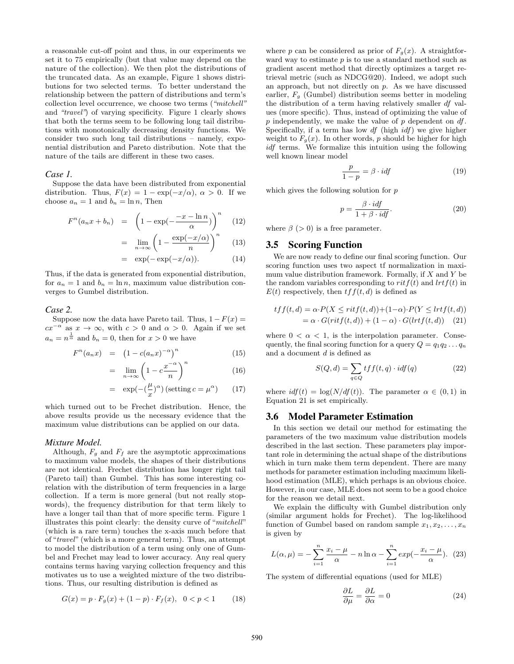a reasonable cut-off point and thus, in our experiments we set it to 75 empirically (but that value may depend on the nature of the collection). We then plot the distributions of the truncated data. As an example, Figure 1 shows distributions for two selected terms. To better understand the relationship between the pattern of distributions and term's collection level occurrence, we choose two terms ("mitchell" and "travel") of varying specificity. Figure 1 clearly shows that both the terms seem to be following long tail distributions with monotonically decreasing density functions. We consider two such long tail distributions – namely, exponential distribution and Pareto distribution. Note that the nature of the tails are different in these two cases.

#### *Case 1.*

Suppose the data have been distributed from exponential distribution. Thus,  $F(x) = 1 - \exp(-x/\alpha)$ ,  $\alpha > 0$ . If we choose  $a_n = 1$  and  $b_n = \ln n$ , Then

$$
F^{n}(a_{n}x+b_{n}) = \left(1-\exp(-\frac{-x-\ln n}{\alpha})\right)^{n} \quad (12)
$$

$$
= \lim_{n \to \infty} \left( 1 - \frac{\exp(-x/\alpha)}{n} \right)^n \tag{13}
$$

$$
= \exp(-\exp(-x/\alpha)). \tag{14}
$$

Thus, if the data is generated from exponential distribution, for  $a_n = 1$  and  $b_n = \ln n$ , maximum value distribution converges to Gumbel distribution.

#### *Case 2.*

Suppose now the data have Pareto tail. Thus,  $1 - F(x) =$  $cx^{-\alpha}$  as  $x \to \infty$ , with  $c > 0$  and  $\alpha > 0$ . Again if we set  $a_n = n^{\frac{1}{\alpha}}$  and  $b_n = 0$ , then for  $x > 0$  we have

$$
F^{n}(a_{n}x) = (1 - c(a_{n}x)^{-\alpha})^{n}
$$
 (15)

$$
= \lim_{n \to \infty} \left( 1 - c \frac{x^{-\alpha}}{n} \right)^n \tag{16}
$$

$$
= \exp(-\left(\frac{\mu}{x}\right)^{\alpha})\left(\text{setting }c = \mu^{\alpha}\right) \tag{17}
$$

which turned out to be Frechet distribution. Hence, the above results provide us the necessary evidence that the maximum value distributions can be applied on our data.

#### *Mixture Model.*

Although,  $F_g$  and  $F_f$  are the asymptotic approximations to maximum value models, the shapes of their distributions are not identical. Frechet distribution has longer right tail (Pareto tail) than Gumbel. This has some interesting corelation with the distribution of term frequencies in a large collection. If a term is more general (but not really stopwords), the frequency distribution for that term likely to have a longer tail than that of more specific term. Figure 1 illustrates this point clearly: the density curve of "mitchell" (which is a rare term) touches the x-axis much before that of "travel" (which is a more general term). Thus, an attempt to model the distribution of a term using only one of Gumbel and Frechet may lead to lower accuracy. Any real query contains terms having varying collection frequency and this motivates us to use a weighted mixture of the two distributions. Thus, our resulting distribution is defined as

$$
G(x) = p \cdot F_g(x) + (1 - p) \cdot F_f(x), \quad 0 < p < 1 \tag{18}
$$

where p can be considered as prior of  $F_q(x)$ . A straightforward way to estimate p is to use a standard method such as gradient ascent method that directly optimizes a target retrieval metric (such as NDCG@20). Indeed, we adopt such an approach, but not directly on  $p$ . As we have discussed earlier,  $F_q$  (Gumbel) distribution seems better in modeling the distribution of a term having relatively smaller df values (more specific). Thus, instead of optimizing the value of  $p$  independently, we make the value of  $p$  dependent on  $df$ . Specifically, if a term has low  $df$  (high  $idf$ ) we give higher weight to  $F<sub>g</sub>(x)$ . In other words, p should be higher for high idf terms. We formalize this intuition using the following well known linear model

$$
\frac{p}{1-p} = \beta \cdot idf \tag{19}
$$

which gives the following solution for  $p$ 

$$
p = \frac{\beta \cdot idf}{1 + \beta \cdot idf}.
$$
\n(20)

where  $\beta$  (> 0) is a free parameter.

#### 3.5 Scoring Function

We are now ready to define our final scoring function. Our scoring function uses two aspect tf normalization in maximum value distribution framework. Formally, if  $X$  and  $Y$  be the random variables corresponding to  $ritf(t)$  and  $lrtf(t)$  in  $E(t)$  respectively, then  $tf(t, d)$  is defined as

$$
tff(t,d) = \alpha \cdot P(X \leq r \cdot tf(t,d)) + (1-\alpha) \cdot P(Y \leq l \cdot rf(t,d))
$$
  
=  $\alpha \cdot G(r \cdot tf(t,d)) + (1-\alpha) \cdot G(l \cdot rf(t,d))$  (21)

where  $0 < \alpha < 1$ , is the interpolation parameter. Consequently, the final scoring function for a query  $Q = q_1 q_2 \dots q_n$ and a document d is defined as

$$
S(Q,d) = \sum_{q \in Q} t f f(t,q) \cdot idf(q)
$$
 (22)

where  $\mathrm{id} f(t) = \log(N/\mathrm{df}(t))$ . The parameter  $\alpha \in (0,1)$  in Equation 21 is set empirically.

#### 3.6 Model Parameter Estimation

In this section we detail our method for estimating the parameters of the two maximum value distribution models described in the last section. These parameters play important role in determining the actual shape of the distributions which in turn make them term dependent. There are many methods for parameter estimation including maximum likelihood estimation (MLE), which perhaps is an obvious choice. However, in our case, MLE does not seem to be a good choice for the reason we detail next.

We explain the difficulty with Gumbel distribution only (similar argument holds for Frechet). The log-likelihood function of Gumbel based on random sample  $x_1, x_2, \ldots, x_n$ is given by

$$
L(\alpha, \mu) = -\sum_{i=1}^{n} \frac{x_i - \mu}{\alpha} - n \ln \alpha - \sum_{i=1}^{n} \exp(-\frac{x_i - \mu}{\alpha}). \tag{23}
$$

The system of differential equations (used for MLE)

$$
\frac{\partial L}{\partial \mu} = \frac{\partial L}{\partial \alpha} = 0 \tag{24}
$$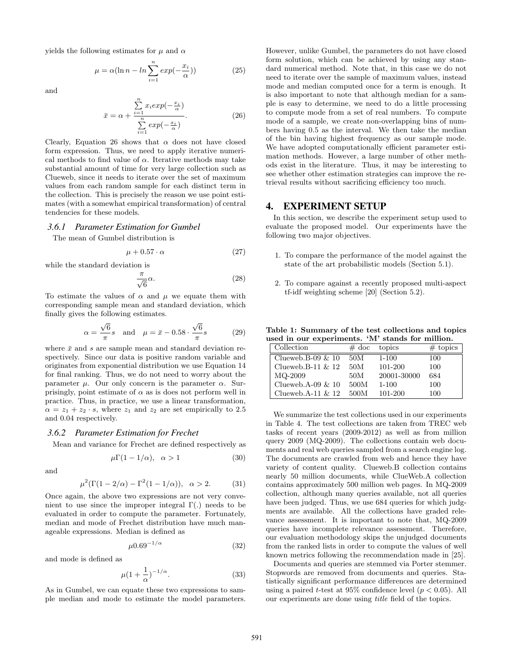yields the following estimates for  $\mu$  and  $\alpha$ 

$$
\mu = \alpha (\ln n - \ln \sum_{i=1}^{n} \exp(-\frac{x_i}{\alpha}))
$$
\n(25)

and

$$
\bar{x} = \alpha + \frac{\sum_{i=1}^{n} x_i exp(-\frac{x_i}{\alpha})}{\sum_{i=1}^{n} exp(-\frac{x_i}{\alpha})}.
$$
 (26)

Clearly, Equation 26 shows that  $\alpha$  does not have closed form expression. Thus, we need to apply iterative numerical methods to find value of  $\alpha$ . Iterative methods may take substantial amount of time for very large collection such as Clueweb, since it needs to iterate over the set of maximum values from each random sample for each distinct term in the collection. This is precisely the reason we use point estimates (with a somewhat empirical transformation) of central tendencies for these models.

#### *3.6.1 Parameter Estimation for Gumbel*

The mean of Gumbel distribution is

$$
\mu + 0.57 \cdot \alpha \tag{27}
$$

while the standard deviation is

$$
\frac{\pi}{\sqrt{6}}\alpha.
$$
 (28)

To estimate the values of  $\alpha$  and  $\mu$  we equate them with corresponding sample mean and standard deviation, which finally gives the following estimates.

$$
\alpha = \frac{\sqrt{6}}{\pi}s \quad \text{and} \quad \mu = \bar{x} - 0.58 \cdot \frac{\sqrt{6}}{\pi}s \tag{29}
$$

where  $\bar{x}$  and s are sample mean and standard deviation respectively. Since our data is positive random variable and originates from exponential distribution we use Equation 14 for final ranking. Thus, we do not need to worry about the parameter  $\mu$ . Our only concern is the parameter  $\alpha$ . Surprisingly, point estimate of  $\alpha$  as is does not perform well in practice. Thus, in practice, we use a linear transformation,  $\alpha = z_1 + z_2 \cdot s$ , where  $z_1$  and  $z_2$  are set empirically to 2.5 and 0.04 respectively.

### *3.6.2 Parameter Estimation for Frechet*

Mean and variance for Frechet are defined respectively as

$$
\mu \Gamma(1 - 1/\alpha), \quad \alpha > 1 \tag{30}
$$

and

$$
\mu^2(\Gamma(1-2/\alpha) - \Gamma^2(1-1/\alpha)), \ \alpha > 2.
$$
 (31)

Once again, the above two expressions are not very convenient to use since the improper integral  $\Gamma(.)$  needs to be evaluated in order to compute the parameter. Fortunately, median and mode of Frechet distribution have much manageable expressions. Median is defined as

$$
\mu 0.69^{-1/\alpha} \tag{32}
$$

and mode is defined as

$$
\mu(1+\frac{1}{\alpha})^{-1/\alpha}.\tag{33}
$$

As in Gumbel, we can equate these two expressions to sample median and mode to estimate the model parameters. However, unlike Gumbel, the parameters do not have closed form solution, which can be achieved by using any standard numerical method. Note that, in this case we do not need to iterate over the sample of maximum values, instead mode and median computed once for a term is enough. It is also important to note that although median for a sample is easy to determine, we need to do a little processing to compute mode from a set of real numbers. To compute mode of a sample, we create non-overlapping bins of numbers having 0.5 as the interval. We then take the median of the bin having highest frequency as our sample mode. We have adopted computationally efficient parameter estimation methods. However, a large number of other methods exist in the literature. Thus, it may be interesting to see whether other estimation strategies can improve the retrieval results without sacrificing efficiency too much.

### 4. EXPERIMENT SETUP

In this section, we describe the experiment setup used to evaluate the proposed model. Our experiments have the following two major objectives.

- 1. To compare the performance of the model against the state of the art probabilistic models (Section 5.1).
- 2. To compare against a recently proposed multi-aspect tf-idf weighting scheme [20] (Section 5.2).

Table 1: Summary of the test collections and topics used in our experiments. 'M' stands for million.

| Collection           | $\#\,$ doc | topics      | $#$ topics |
|----------------------|------------|-------------|------------|
| Clueweb.B-09 $\&$ 10 | 50M        | $1 - 100$   | 100        |
| Clueweb.B-11 $\&$ 12 | 50M        | 101-200     | 100        |
| MQ-2009              | 50M        | 20001-30000 | 684        |
| Clueweb.A-09 $\&$ 10 | 500M       | $1 - 100$   | 100        |
| Clueweb.A-11 $\&$ 12 | 500M       | 101-200     | 100        |

We summarize the test collections used in our experiments in Table 4. The test collections are taken from TREC web tasks of recent years (2009-2012) as well as from million query 2009 (MQ-2009). The collections contain web documents and real web queries sampled from a search engine log. The documents are crawled from web and hence they have variety of content quality. Clueweb.B collection contains nearly 50 million documents, while ClueWeb.A collection contains approximately 500 million web pages. In MQ-2009 collection, although many queries available, not all queries have been judged. Thus, we use 684 queries for which judgments are available. All the collections have graded relevance assessment. It is important to note that, MQ-2009 queries have incomplete relevance assessment. Therefore, our evaluation methodology skips the unjudged documents from the ranked lists in order to compute the values of well known metrics following the recommendation made in [25].

Documents and queries are stemmed via Porter stemmer. Stopwords are removed from documents and queries. Statistically significant performance differences are determined using a paired t-test at 95% confidence level ( $p < 0.05$ ). All our experiments are done using title field of the topics.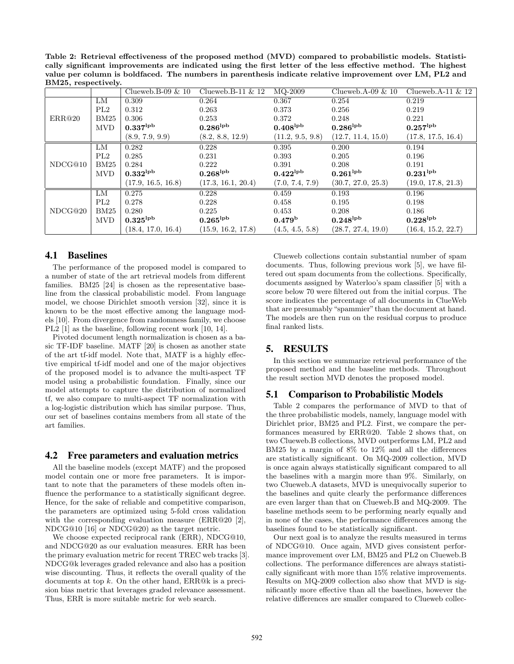Table 2: Retrieval effectiveness of the proposed method (MVD) compared to probabilistic models. Statistically significant improvements are indicated using the first letter of the less effective method. The highest value per column is boldfaced. The numbers in parenthesis indicate relative improvement over LM, PL2 and BM25, respectively.

|         |            | Clueweb.B-09 $& 10$    | Clueweb.B-11 $\&$ 12   | MQ-2009                | Clueweb.A-09 $& 10$    | Clueweb.A-11 $\&$ 12   |
|---------|------------|------------------------|------------------------|------------------------|------------------------|------------------------|
| ERR@20  | LМ         | 0.309                  | 0.264                  | 0.367                  | 0.254                  | 0.219                  |
|         | PL2        | 0.312                  | 0.263                  | 0.373                  | 0.256                  | 0.219                  |
|         | BM25       | 0.306                  | 0.253                  | 0.372                  | 0.248                  | 0.221                  |
|         | <b>MVD</b> | $0.337^{\mathrm{lpb}}$ | $0.286^{\mathrm{lpb}}$ | $0.408^{\mathrm{lpb}}$ | $0.286^{\mathrm{lpb}}$ | $0.257^{\rm lpb}$      |
|         |            | (8.9, 7.9, 9.9)        | (8.2, 8.8, 12.9)       | (11.2, 9.5, 9.8)       | (12.7, 11.4, 15.0)     | (17.8, 17.5, 16.4)     |
| NDCG@10 | LМ         | 0.282                  | 0.228                  | 0.395                  | 0.200                  | 0.194                  |
|         | PL2        | 0.285                  | 0.231                  | 0.393                  | 0.205                  | 0.196                  |
|         | BM25       | 0.284                  | 0.222                  | 0.391                  | 0.208                  | 0.191                  |
|         | <b>MVD</b> | $0.332^{\mathrm{lpb}}$ | $0.268^{\mathrm{lpb}}$ | $0.422^{\mathrm{lpb}}$ | $0.261^{\mathrm{lpb}}$ | $0.231^{\rm lpb}$      |
|         |            | (17.9, 16.5, 16.8)     | (17.3, 16.1, 20.4)     | (7.0, 7.4, 7.9)        | (30.7, 27.0, 25.3)     | (19.0, 17.8, 21.3)     |
| NDCG@20 | LM         | 0.275                  | 0.228                  | 0.459                  | 0.193                  | 0.196                  |
|         | PL2        | 0.278                  | 0.228                  | 0.458                  | 0.195                  | 0.198                  |
|         | BM25       | 0.280                  | 0.225                  | 0.453                  | 0.208                  | 0.186                  |
|         | <b>MVD</b> | $0.325^{\mathrm{lpb}}$ | $0.265^{\mathrm{lpb}}$ | 0.479 <sup>b</sup>     | $0.248^{\mathrm{lpb}}$ | $0.228^{\mathrm{lpb}}$ |
|         |            | (18.4, 17.0, 16.4)     | (15.9, 16.2, 17.8)     | (4.5, 4.5, 5.8)        | (28.7, 27.4, 19.0)     | (16.4, 15.2, 22.7)     |

## 4.1 Baselines

The performance of the proposed model is compared to a number of state of the art retrieval models from different families. BM25 [24] is chosen as the representative baseline from the classical probabilistic model. From language model, we choose Dirichlet smooth version [32], since it is known to be the most effective among the language models [10]. From divergence from randomness family, we choose PL2 [1] as the baseline, following recent work [10, 14].

Pivoted document length normalization is chosen as a basic TF-IDF baseline. MATF [20] is chosen as another state of the art tf-idf model. Note that, MATF is a highly effective empirical tf-idf model and one of the major objectives of the proposed model is to advance the multi-aspect TF model using a probabilistic foundation. Finally, since our model attempts to capture the distribution of normalized tf, we also compare to multi-aspect TF normalization with a log-logistic distribution which has similar purpose. Thus, our set of baselines contains members from all state of the art families.

### 4.2 Free parameters and evaluation metrics

All the baseline models (except MATF) and the proposed model contain one or more free parameters. It is important to note that the parameters of these models often influence the performance to a statistically significant degree. Hence, for the sake of reliable and competitive comparison, the parameters are optimized using 5-fold cross validation with the corresponding evaluation measure (ERR@20 [2], NDCG@10 [16] or NDCG@20) as the target metric.

We choose expected reciprocal rank (ERR), NDCG@10, and NDCG@20 as our evaluation measures. ERR has been the primary evaluation metric for recent TREC web tracks [3]. NDCG@k leverages graded relevance and also has a position wise discounting. Thus, it reflects the overall quality of the documents at top k. On the other hand, ERR@k is a precision bias metric that leverages graded relevance assessment. Thus, ERR is more suitable metric for web search.

Clueweb collections contain substantial number of spam documents. Thus, following previous work [5], we have filtered out spam documents from the collections. Specifically, documents assigned by Waterloo's spam classifier [5] with a score below 70 were filtered out from the initial corpus. The score indicates the percentage of all documents in ClueWeb that are presumably "spammier" than the document at hand. The models are then run on the residual corpus to produce final ranked lists.

# 5. RESULTS

In this section we summarize retrieval performance of the proposed method and the baseline methods. Throughout the result section MVD denotes the proposed model.

# 5.1 Comparison to Probabilistic Models

Table 2 compares the performance of MVD to that of the three probabilistic models, namely, language model with Dirichlet prior, BM25 and PL2. First, we compare the performances measured by ERR@20. Table 2 shows that, on two Clueweb.B collections, MVD outperforms LM, PL2 and BM25 by a margin of 8% to 12% and all the differences are statistically significant. On MQ-2009 collection, MVD is once again always statistically significant compared to all the baselines with a margin more than 9%. Similarly, on two Clueweb.A datasets, MVD is unequivocally superior to the baselines and quite clearly the performance differences are even larger than that on Clueweb.B and MQ-2009. The baseline methods seem to be performing nearly equally and in none of the cases, the performance differences among the baselines found to be statistically significant.

Our next goal is to analyze the results measured in terms of NDCG@10. Once again, MVD gives consistent performance improvement over LM, BM25 and PL2 on Clueweb.B collections. The performance differences are always statistically significant with more than 15% relative improvements. Results on MQ-2009 collection also show that MVD is significantly more effective than all the baselines, however the relative differences are smaller compared to Clueweb collec-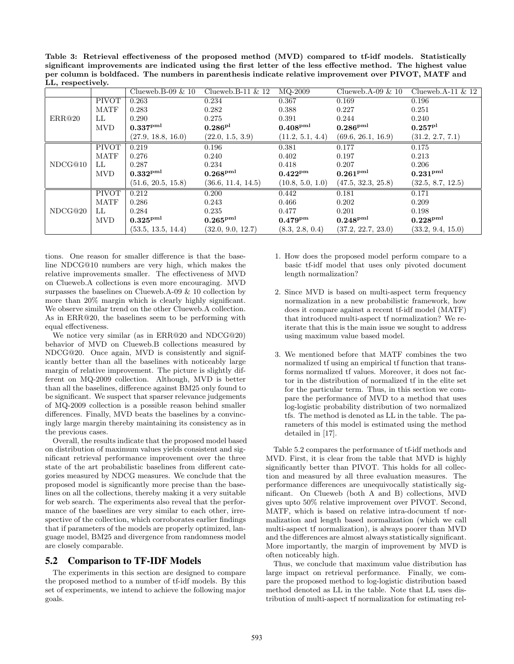Table 3: Retrieval effectiveness of the proposed method (MVD) compared to tf-idf models. Statistically significant improvements are indicated using the first letter of the less effective method. The highest value per column is boldfaced. The numbers in parenthesis indicate relative improvement over PIVOT, MATF and LL, respectively.

|         |              | Clueweb.B-09 $& 10$  | Clueweb.B-11 $\&$ 12 | MQ-2009           | Clueweb.A-09 $\&$ 10 | Clueweb.A-11 $\&$ 12 |
|---------|--------------|----------------------|----------------------|-------------------|----------------------|----------------------|
| ERR@20  | <b>PIVOT</b> | 0.263                | 0.234                | 0.367             | 0.169                | 0.196                |
|         | <b>MATF</b>  | 0.283                | 0.282                | 0.388             | 0.227                | 0.251                |
|         | LL           | 0.290                | 0.275                | 0.391             | 0.244                | 0.240                |
|         | <b>MVD</b>   | $0.337^{\rm pml}$    | $0.286^{\rm pl}$     | $0.408^{\rm pml}$ | $0.286^{\rm pml}$    | $0.257^{\rm pl}$     |
|         |              | (27.9, 18.8, 16.0)   | (22.0, 1.5, 3.9)     | (11.2, 5.1, 4.4)  | (69.6, 26.1, 16.9)   | (31.2, 2.7, 7.1)     |
| NDCG@10 | <b>PIVOT</b> | 0.219                | 0.196                | 0.381             | 0.177                | 0.175                |
|         | <b>MATF</b>  | 0.276                | 0.240                | 0.402             | 0.197                | 0.213                |
|         | LL           | 0.287                | 0.234                | 0.418             | 0.207                | 0.206                |
|         | <b>MVD</b>   | $0.332^{\text{pm1}}$ | 0.268 <sup>pm1</sup> | $0.422^{\rm pm}$  | $0.261^{\rm pml}$    | 0.231 <sup>pm1</sup> |
|         |              | (51.6, 20.5, 15.8)   | (36.6, 11.4, 14.5)   | (10.8, 5.0, 1.0)  | (47.5, 32.3, 25.8)   | (32.5, 8.7, 12.5)    |
| NDCG@20 | <b>PIVOT</b> | 0.212                | 0.200                | 0.442             | 0.181                | 0.171                |
|         | <b>MATF</b>  | 0.286                | 0.243                | 0.466             | 0.202                | 0.209                |
|         | LL           | 0.284                | 0.235                | 0.477             | 0.201                | 0.198                |
|         | <b>MVD</b>   | $0.325^{\rm pml}$    | $0.265^{\text{pml}}$ | $0.479^{\rm pm}$  | $0.248^{\rm pml}$    | 0.228 <sup>pm1</sup> |
|         |              | (53.5, 13.5, 14.4)   | (32.0, 9.0, 12.7)    | (8.3, 2.8, 0.4)   | (37.2, 22.7, 23.0)   | (33.2, 9.4, 15.0)    |

tions. One reason for smaller difference is that the baseline NDCG@10 numbers are very high, which makes the relative improvements smaller. The effectiveness of MVD on Clueweb.A collections is even more encouraging. MVD surpasses the baselines on Clueweb.A-09 & 10 collection by more than 20% margin which is clearly highly significant. We observe similar trend on the other Clueweb.A collection. As in ERR@20, the baselines seem to be performing with equal effectiveness.

We notice very similar (as in ERR@20 and NDCG@20) behavior of MVD on Clueweb.B collections measured by NDCG@20. Once again, MVD is consistently and significantly better than all the baselines with noticeably large margin of relative improvement. The picture is slightly different on MQ-2009 collection. Although, MVD is better than all the baselines, difference against BM25 only found to be significant. We suspect that sparser relevance judgements of MQ-2009 collection is a possible reason behind smaller differences. Finally, MVD beats the baselines by a convincingly large margin thereby maintaining its consistency as in the previous cases.

Overall, the results indicate that the proposed model based on distribution of maximum values yields consistent and significant retrieval performance improvement over the three state of the art probabilistic baselines from different categories measured by NDCG measures. We conclude that the proposed model is significantly more precise than the baselines on all the collections, thereby making it a very suitable for web search. The experiments also reveal that the performance of the baselines are very similar to each other, irrespective of the collection, which corroborates earlier findings that if parameters of the models are properly optimized, language model, BM25 and divergence from randomness model are closely comparable.

# 5.2 Comparison to TF-IDF Models

The experiments in this section are designed to compare the proposed method to a number of tf-idf models. By this set of experiments, we intend to achieve the following major goals.

- 1. How does the proposed model perform compare to a basic tf-idf model that uses only pivoted document length normalization?
- 2. Since MVD is based on multi-aspect term frequency normalization in a new probabilistic framework, how does it compare against a recent tf-idf model (MATF) that introduced multi-aspect tf normalization? We reiterate that this is the main issue we sought to address using maximum value based model.
- 3. We mentioned before that MATF combines the two normalized tf using an empirical tf function that transforms normalized tf values. Moreover, it does not factor in the distribution of normalized tf in the elite set for the particular term. Thus, in this section we compare the performance of MVD to a method that uses log-logistic probability distribution of two normalized tfs. The method is denoted as LL in the table. The parameters of this model is estimated using the method detailed in [17].

Table 5.2 compares the performance of tf-idf methods and MVD. First, it is clear from the table that MVD is highly significantly better than PIVOT. This holds for all collection and measured by all three evaluation measures. The performance differences are unequivocally statistically significant. On Clueweb (both A and B) collections, MVD gives upto 50% relative improvement over PIVOT. Second, MATF, which is based on relative intra-document tf normalization and length based normalization (which we call multi-aspect tf normalization), is always poorer than MVD and the differences are almost always statistically significant. More importantly, the margin of improvement by MVD is often noticeably high.

Thus, we conclude that maximum value distribution has large impact on retrieval performance. Finally, we compare the proposed method to log-logistic distribution based method denoted as LL in the table. Note that LL uses distribution of multi-aspect tf normalization for estimating rel